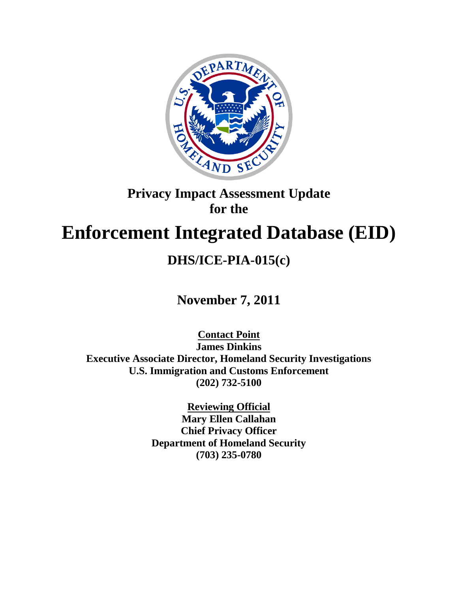

## **Privacy Impact Assessment Update for the**

# **Enforcement Integrated Database (EID)**

## **DHS/ICE-PIA-015(c)**

**November 7, 2011**

**Contact Point James Dinkins Executive Associate Director, Homeland Security Investigations U.S. Immigration and Customs Enforcement (202) 732-5100**

> **Reviewing Official Mary Ellen Callahan Chief Privacy Officer Department of Homeland Security (703) 235-0780**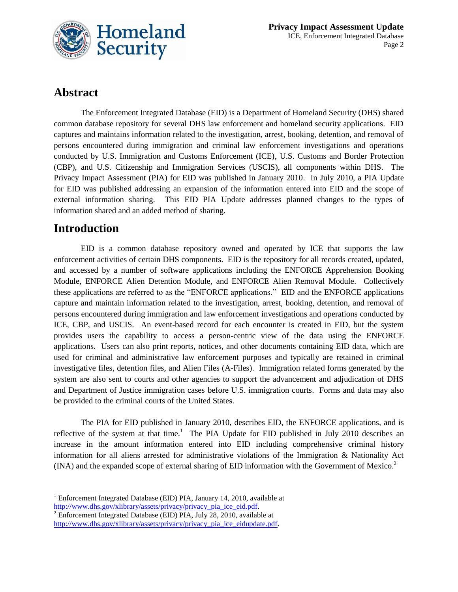

### **Abstract**

The Enforcement Integrated Database (EID) is a Department of Homeland Security (DHS) shared common database repository for several DHS law enforcement and homeland security applications. EID captures and maintains information related to the investigation, arrest, booking, detention, and removal of persons encountered during immigration and criminal law enforcement investigations and operations conducted by U.S. Immigration and Customs Enforcement (ICE), U.S. Customs and Border Protection (CBP), and U.S. Citizenship and Immigration Services (USCIS), all components within DHS. The Privacy Impact Assessment (PIA) for EID was published in January 2010. In July 2010, a PIA Update for EID was published addressing an expansion of the information entered into EID and the scope of external information sharing. This EID PIA Update addresses planned changes to the types of information shared and an added method of sharing.

### **Introduction**

EID is a common database repository owned and operated by ICE that supports the law enforcement activities of certain DHS components. EID is the repository for all records created, updated, and accessed by a number of software applications including the ENFORCE Apprehension Booking Module, ENFORCE Alien Detention Module, and ENFORCE Alien Removal Module. Collectively these applications are referred to as the "ENFORCE applications." EID and the ENFORCE applications capture and maintain information related to the investigation, arrest, booking, detention, and removal of persons encountered during immigration and law enforcement investigations and operations conducted by ICE, CBP, and USCIS. An event-based record for each encounter is created in EID, but the system provides users the capability to access a person-centric view of the data using the ENFORCE applications. Users can also print reports, notices, and other documents containing EID data, which are used for criminal and administrative law enforcement purposes and typically are retained in criminal investigative files, detention files, and Alien Files (A-Files). Immigration related forms generated by the system are also sent to courts and other agencies to support the advancement and adjudication of DHS and Department of Justice immigration cases before U.S. immigration courts. Forms and data may also be provided to the criminal courts of the United States.

The PIA for EID published in January 2010, describes EID, the ENFORCE applications, and is reflective of the system at that time.<sup>1</sup> The PIA Update for EID published in July 2010 describes an increase in the amount information entered into EID including comprehensive criminal history information for all aliens arrested for administrative violations of the Immigration & Nationality Act (INA) and the expanded scope of external sharing of EID information with the Government of Mexico. 2

 $\overline{a}$ <sup>1</sup> Enforcement Integrated Database (EID) PIA, January 14, 2010, available at [http://www.dhs.gov/xlibrary/assets/privacy/privacy\\_pia\\_ice\\_eid.pdf.](http://www.dhs.gov/xlibrary/assets/privacy/privacy_pia_ice_eid.pdf)

 $\frac{1}{2}$  Enforcement Integrated Database (EID) PIA, July 28, 2010, available at [http://www.dhs.gov/xlibrary/assets/privacy/privacy\\_pia\\_ice\\_eidupdate.pdf.](http://www.dhs.gov/xlibrary/assets/privacy/privacy_pia_ice_eidupdate.pdf)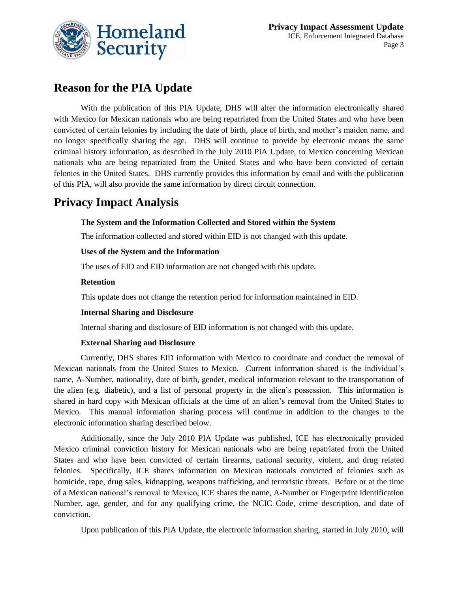

## **Reason for the PIA Update**

With the publication of this PIA Update, DHS will alter the information electronically shared with Mexico for Mexican nationals who are being repatriated from the United States and who have been convicted of certain felonies by including the date of birth, place of birth, and mother's maiden name, and no longer specifically sharing the age. DHS will continue to provide by electronic means the same criminal history information, as described in the July 2010 PIA Update, to Mexico concerning Mexican nationals who are being repatriated from the United States and who have been convicted of certain felonies in the United States. DHS currently provides this information by email and with the publication of this PIA, will also provide the same information by direct circuit connection.

## **Privacy Impact Analysis**

#### **The System and the Information Collected and Stored within the System**

The information collected and stored within EID is not changed with this update.

#### **Uses of the System and the Information**

The uses of EID and EID information are not changed with this update.

#### **Retention**

This update does not change the retention period for information maintained in EID.

#### **Internal Sharing and Disclosure**

Internal sharing and disclosure of EID information is not changed with this update.

#### **External Sharing and Disclosure**

Currently, DHS shares EID information with Mexico to coordinate and conduct the removal of Mexican nationals from the United States to Mexico. Current information shared is the individual's name, A-Number, nationality, date of birth, gender, medical information relevant to the transportation of the alien (e.g. diabetic), and a list of personal property in the alien's possession. This information is shared in hard copy with Mexican officials at the time of an alien's removal from the United States to Mexico. This manual information sharing process will continue in addition to the changes to the electronic information sharing described below.

Additionally, since the July 2010 PIA Update was published, ICE has electronically provided Mexico criminal conviction history for Mexican nationals who are being repatriated from the United States and who have been convicted of certain firearms, national security, violent, and drug related felonies. Specifically, ICE shares information on Mexican nationals convicted of felonies such as homicide, rape, drug sales, kidnapping, weapons trafficking, and terroristic threats. Before or at the time of a Mexican national's removal to Mexico, ICE shares the name, A-Number or Fingerprint Identification Number, age, gender, and for any qualifying crime, the NCIC Code, crime description, and date of conviction.

Upon publication of this PIA Update, the electronic information sharing, started in July 2010, will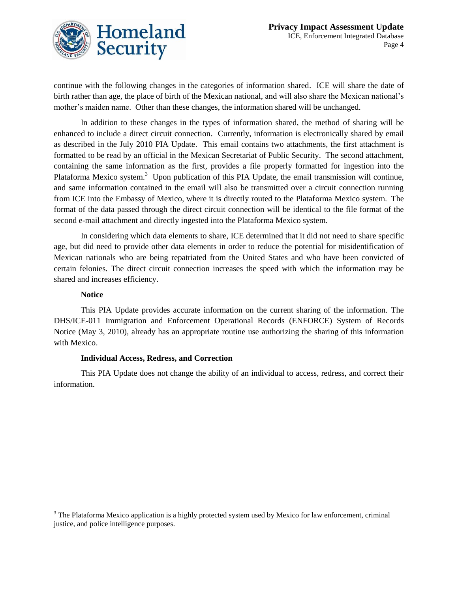continue with the following changes in the categories of information shared. ICE will share the date of birth rather than age, the place of birth of the Mexican national, and will also share the Mexican national's mother's maiden name. Other than these changes, the information shared will be unchanged.

In addition to these changes in the types of information shared, the method of sharing will be enhanced to include a direct circuit connection. Currently, information is electronically shared by email as described in the July 2010 PIA Update. This email contains two attachments, the first attachment is formatted to be read by an official in the Mexican Secretariat of Public Security. The second attachment, containing the same information as the first, provides a file properly formatted for ingestion into the Plataforma Mexico system.<sup>3</sup> Upon publication of this PIA Update, the email transmission will continue, and same information contained in the email will also be transmitted over a circuit connection running from ICE into the Embassy of Mexico, where it is directly routed to the Plataforma Mexico system. The format of the data passed through the direct circuit connection will be identical to the file format of the second e-mail attachment and directly ingested into the Plataforma Mexico system.

In considering which data elements to share, ICE determined that it did not need to share specific age, but did need to provide other data elements in order to reduce the potential for misidentification of Mexican nationals who are being repatriated from the United States and who have been convicted of certain felonies. The direct circuit connection increases the speed with which the information may be shared and increases efficiency.

#### **Notice**

 $\overline{a}$ 

This PIA Update provides accurate information on the current sharing of the information. The DHS/ICE-011 Immigration and Enforcement Operational Records (ENFORCE) System of Records Notice (May 3, 2010), already has an appropriate routine use authorizing the sharing of this information with Mexico.

#### **Individual Access, Redress, and Correction**

This PIA Update does not change the ability of an individual to access, redress, and correct their information.

<sup>&</sup>lt;sup>3</sup> The Plataforma Mexico application is a highly protected system used by Mexico for law enforcement, criminal justice, and police intelligence purposes.